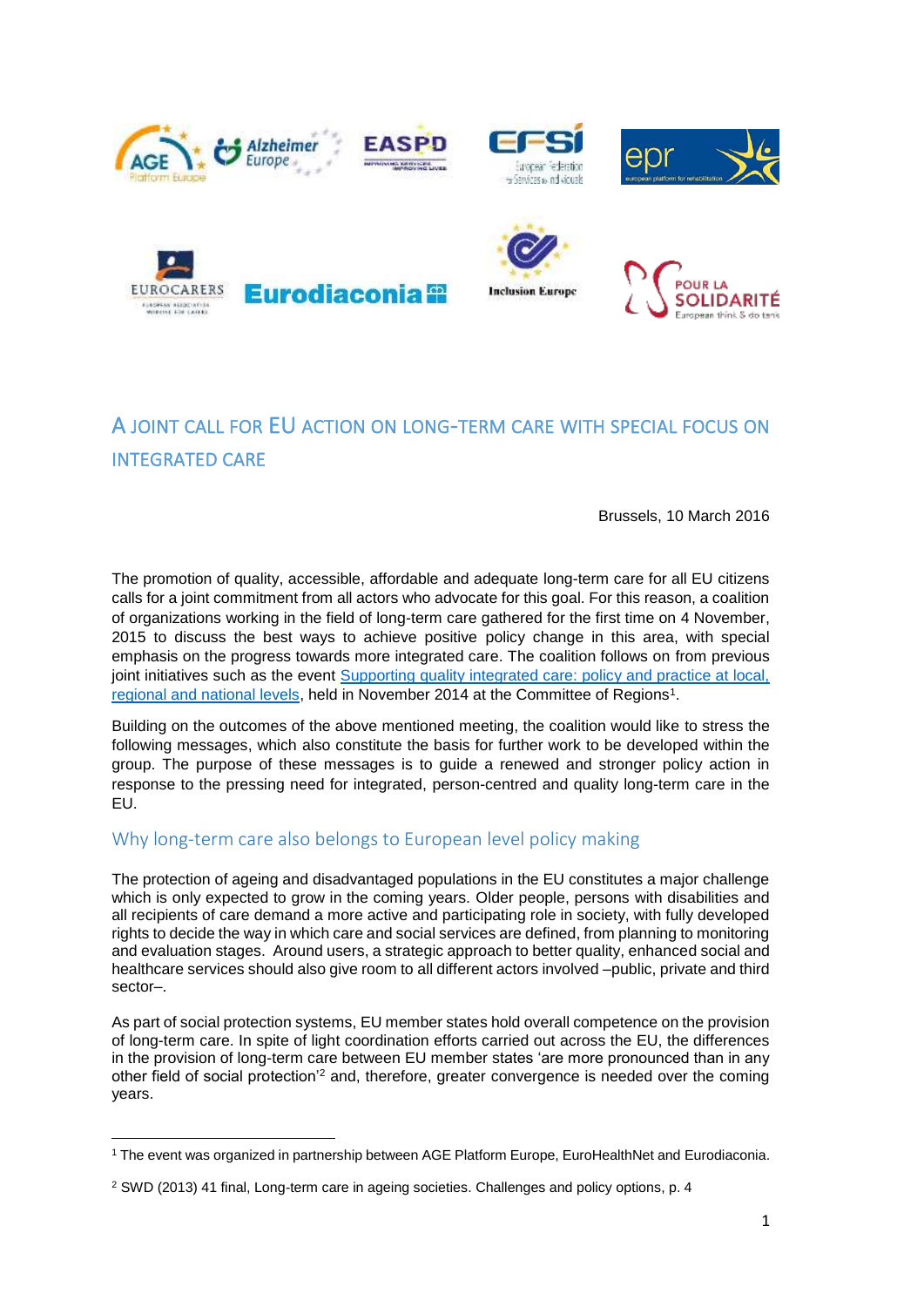











## A JOINT CALL FOR EU ACTION ON LONG-TERM CARE WITH SPECIAL FOCUS ON INTEGRATED CARE

Brussels, 10 March 2016

The promotion of quality, accessible, affordable and adequate long-term care for all EU citizens calls for a joint commitment from all actors who advocate for this goal. For this reason, a coalition of organizations working in the field of long-term care gathered for the first time on 4 November, 2015 to discuss the best ways to achieve positive policy change in this area, with special emphasis on the progress towards more integrated care. The coalition follows on from previous joint initiatives such as the event Supporting quality integrated care: policy and practice at local, [regional and national levels,](http://www.eurodiaconia.org/2015/01/report-from-conference-on-quality-integrated-care-now-online/) held in November 2014 at the Committee of Regions<sup>1</sup>.

Building on the outcomes of the above mentioned meeting, the coalition would like to stress the following messages, which also constitute the basis for further work to be developed within the group. The purpose of these messages is to guide a renewed and stronger policy action in response to the pressing need for integrated, person-centred and quality long-term care in the EU.

## Why long-term care also belongs to European level policy making

The protection of ageing and disadvantaged populations in the EU constitutes a major challenge which is only expected to grow in the coming years. Older people, persons with disabilities and all recipients of care demand a more active and participating role in society, with fully developed rights to decide the way in which care and social services are defined, from planning to monitoring and evaluation stages. Around users, a strategic approach to better quality, enhanced social and healthcare services should also give room to all different actors involved –public, private and third sector–.

As part of social protection systems, EU member states hold overall competence on the provision of long-term care. In spite of light coordination efforts carried out across the EU, the differences in the provision of long-term care between EU member states 'are more pronounced than in any other field of social protection'<sup>2</sup> and, therefore, greater convergence is needed over the coming years.

 $\overline{a}$ 

<sup>1</sup> The event was organized in partnership between AGE Platform Europe, EuroHealthNet and Eurodiaconia.

<sup>&</sup>lt;sup>2</sup> SWD (2013) 41 final, Long-term care in ageing societies. Challenges and policy options, p. 4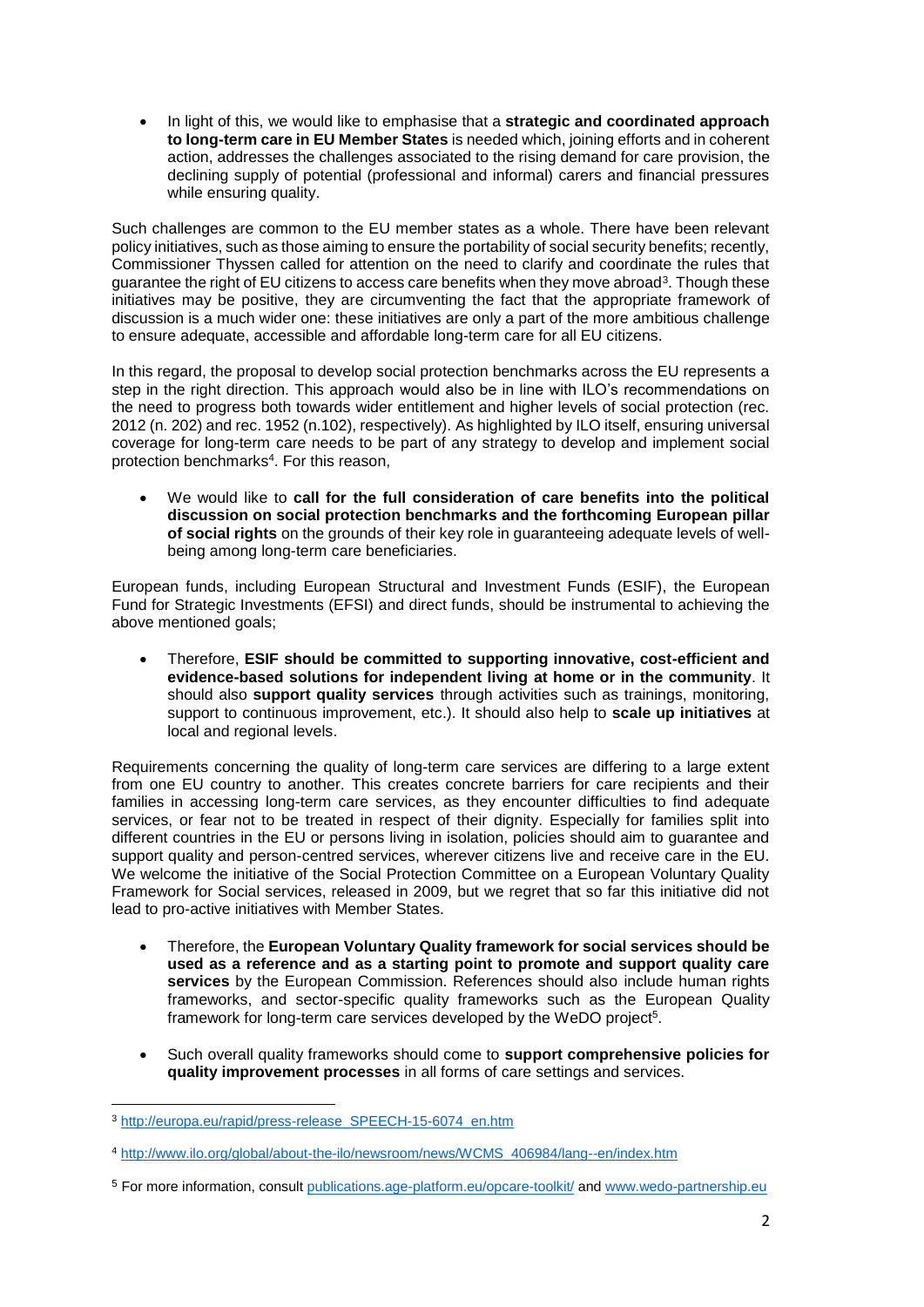In light of this, we would like to emphasise that a **strategic and coordinated approach to long-term care in EU Member States** is needed which, joining efforts and in coherent action, addresses the challenges associated to the rising demand for care provision, the declining supply of potential (professional and informal) carers and financial pressures while ensuring quality.

Such challenges are common to the EU member states as a whole. There have been relevant policy initiatives, such as those aiming to ensure the portability of social security benefits; recently, Commissioner Thyssen called for attention on the need to clarify and coordinate the rules that guarantee the right of EU citizens to access care benefits when they move abroad<sup>3</sup>. Though these initiatives may be positive, they are circumventing the fact that the appropriate framework of discussion is a much wider one: these initiatives are only a part of the more ambitious challenge to ensure adequate, accessible and affordable long-term care for all EU citizens.

In this regard, the proposal to develop social protection benchmarks across the EU represents a step in the right direction. This approach would also be in line with ILO's recommendations on the need to progress both towards wider entitlement and higher levels of social protection (rec. 2012 (n. 202) and rec. 1952 (n.102), respectively). As highlighted by ILO itself, ensuring universal coverage for long-term care needs to be part of any strategy to develop and implement social protection benchmarks<sup>4</sup>. For this reason,

 We would like to **call for the full consideration of care benefits into the political discussion on social protection benchmarks and the forthcoming European pillar of social rights** on the grounds of their key role in guaranteeing adequate levels of wellbeing among long-term care beneficiaries.

European funds, including European Structural and Investment Funds (ESIF), the European Fund for Strategic Investments (EFSI) and direct funds, should be instrumental to achieving the above mentioned goals;

 Therefore, **ESIF should be committed to supporting innovative, cost-efficient and evidence-based solutions for independent living at home or in the community**. It should also **support quality services** through activities such as trainings, monitoring, support to continuous improvement, etc.). It should also help to **scale up initiatives** at local and regional levels.

Requirements concerning the quality of long-term care services are differing to a large extent from one EU country to another. This creates concrete barriers for care recipients and their families in accessing long-term care services, as they encounter difficulties to find adequate services, or fear not to be treated in respect of their dignity. Especially for families split into different countries in the EU or persons living in isolation, policies should aim to guarantee and support quality and person-centred services, wherever citizens live and receive care in the EU. We welcome the initiative of the Social Protection Committee on a European Voluntary Quality Framework for Social services, released in 2009, but we regret that so far this initiative did not lead to pro-active initiatives with Member States.

- Therefore, the **European Voluntary Quality framework for social services should be used as a reference and as a starting point to promote and support quality care services** by the European Commission. References should also include human rights frameworks, and sector-specific quality frameworks such as the European Quality framework for long-term care services developed by the WeDO project<sup>5</sup>.
- Such overall quality frameworks should come to **support comprehensive policies for quality improvement processes** in all forms of care settings and services.

1

<sup>3</sup> [http://europa.eu/rapid/press-release\\_SPEECH-15-6074\\_en.htm](http://europa.eu/rapid/press-release_SPEECH-15-6074_en.htm)

<sup>4</sup> [http://www.ilo.org/global/about-the-ilo/newsroom/news/WCMS\\_406984/lang--en/index.htm](http://www.ilo.org/global/about-the-ilo/newsroom/news/WCMS_406984/lang--en/index.htm)

<sup>5</sup> For more information, consult [publications.age-platform.eu/opcare-toolkit/](http://publications.age-platform.eu/opcare-toolkit/) and [www.wedo-partnership.eu](http://www.wedo-partnership.eu/)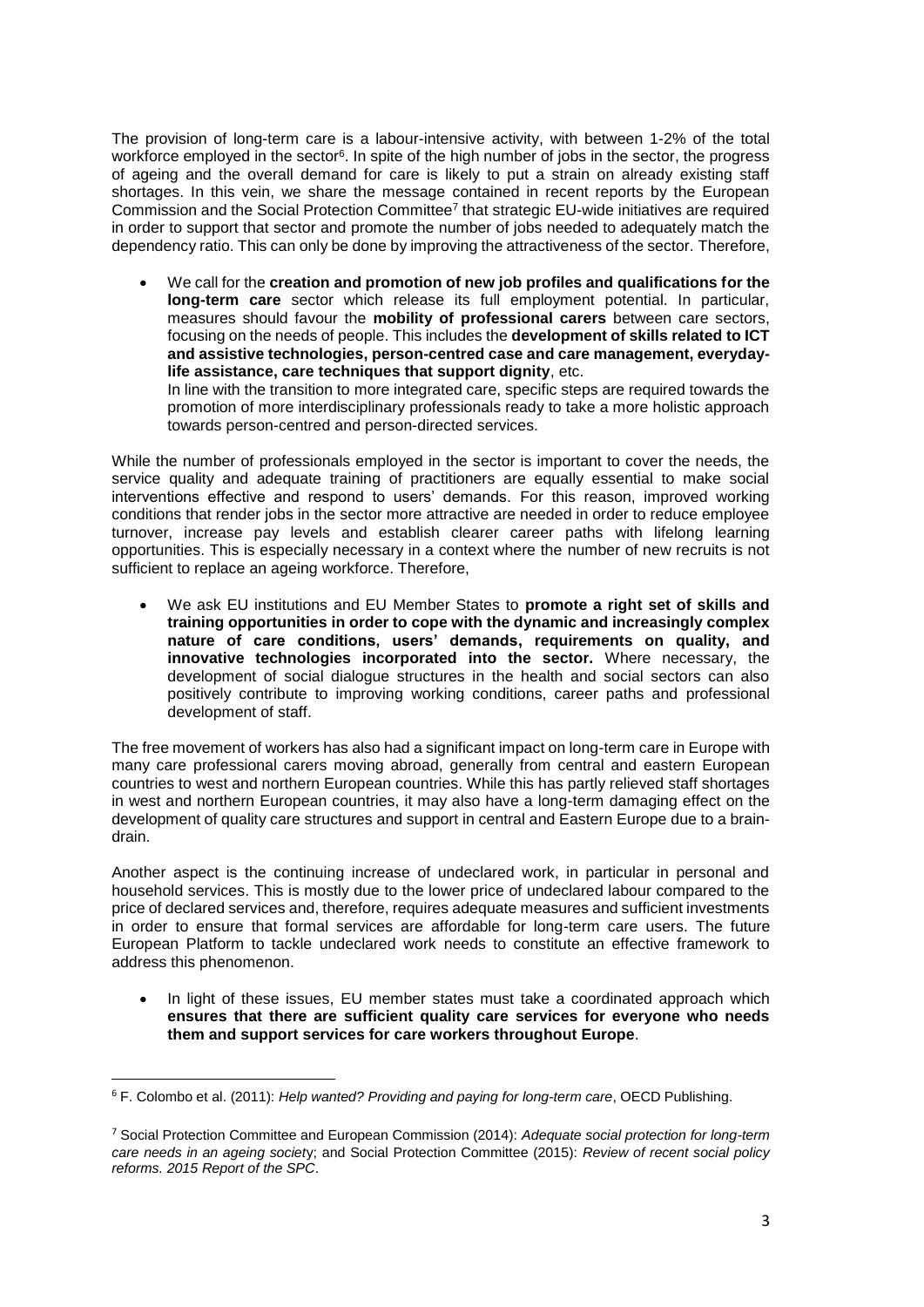The provision of long-term care is a labour-intensive activity, with between 1-2% of the total workforce employed in the sector<sup>6</sup>. In spite of the high number of jobs in the sector, the progress of ageing and the overall demand for care is likely to put a strain on already existing staff shortages. In this vein, we share the message contained in recent reports by the European Commission and the Social Protection Committee<sup>7</sup> that strategic EU-wide initiatives are required in order to support that sector and promote the number of jobs needed to adequately match the dependency ratio. This can only be done by improving the attractiveness of the sector. Therefore,

 We call for the **creation and promotion of new job profiles and qualifications for the long-term care** sector which release its full employment potential. In particular, measures should favour the **mobility of professional carers** between care sectors, focusing on the needs of people. This includes the **development of skills related to ICT and assistive technologies, person-centred case and care management, everydaylife assistance, care techniques that support dignity**, etc.

In line with the transition to more integrated care, specific steps are required towards the promotion of more interdisciplinary professionals ready to take a more holistic approach towards person-centred and person-directed services.

While the number of professionals employed in the sector is important to cover the needs, the service quality and adequate training of practitioners are equally essential to make social interventions effective and respond to users' demands. For this reason, improved working conditions that render jobs in the sector more attractive are needed in order to reduce employee turnover, increase pay levels and establish clearer career paths with lifelong learning opportunities. This is especially necessary in a context where the number of new recruits is not sufficient to replace an ageing workforce. Therefore,

 We ask EU institutions and EU Member States to **promote a right set of skills and training opportunities in order to cope with the dynamic and increasingly complex nature of care conditions, users' demands, requirements on quality, and innovative technologies incorporated into the sector.** Where necessary, the development of social dialogue structures in the health and social sectors can also positively contribute to improving working conditions, career paths and professional development of staff.

The free movement of workers has also had a significant impact on long-term care in Europe with many care professional carers moving abroad, generally from central and eastern European countries to west and northern European countries. While this has partly relieved staff shortages in west and northern European countries, it may also have a long-term damaging effect on the development of quality care structures and support in central and Eastern Europe due to a braindrain.

Another aspect is the continuing increase of undeclared work, in particular in personal and household services. This is mostly due to the lower price of undeclared labour compared to the price of declared services and, therefore, requires adequate measures and sufficient investments in order to ensure that formal services are affordable for long-term care users. The future European Platform to tackle undeclared work needs to constitute an effective framework to address this phenomenon.

 In light of these issues, EU member states must take a coordinated approach which **ensures that there are sufficient quality care services for everyone who needs them and support services for care workers throughout Europe**.

**.** 

<sup>6</sup> F. Colombo et al. (2011): *Help wanted? Providing and paying for long-term care*, OECD Publishing.

<sup>7</sup> Social Protection Committee and European Commission (2014): *Adequate social protection for long-term care needs in an ageing societ*y; and Social Protection Committee (2015): *Review of recent social policy reforms. 2015 Report of the SPC*.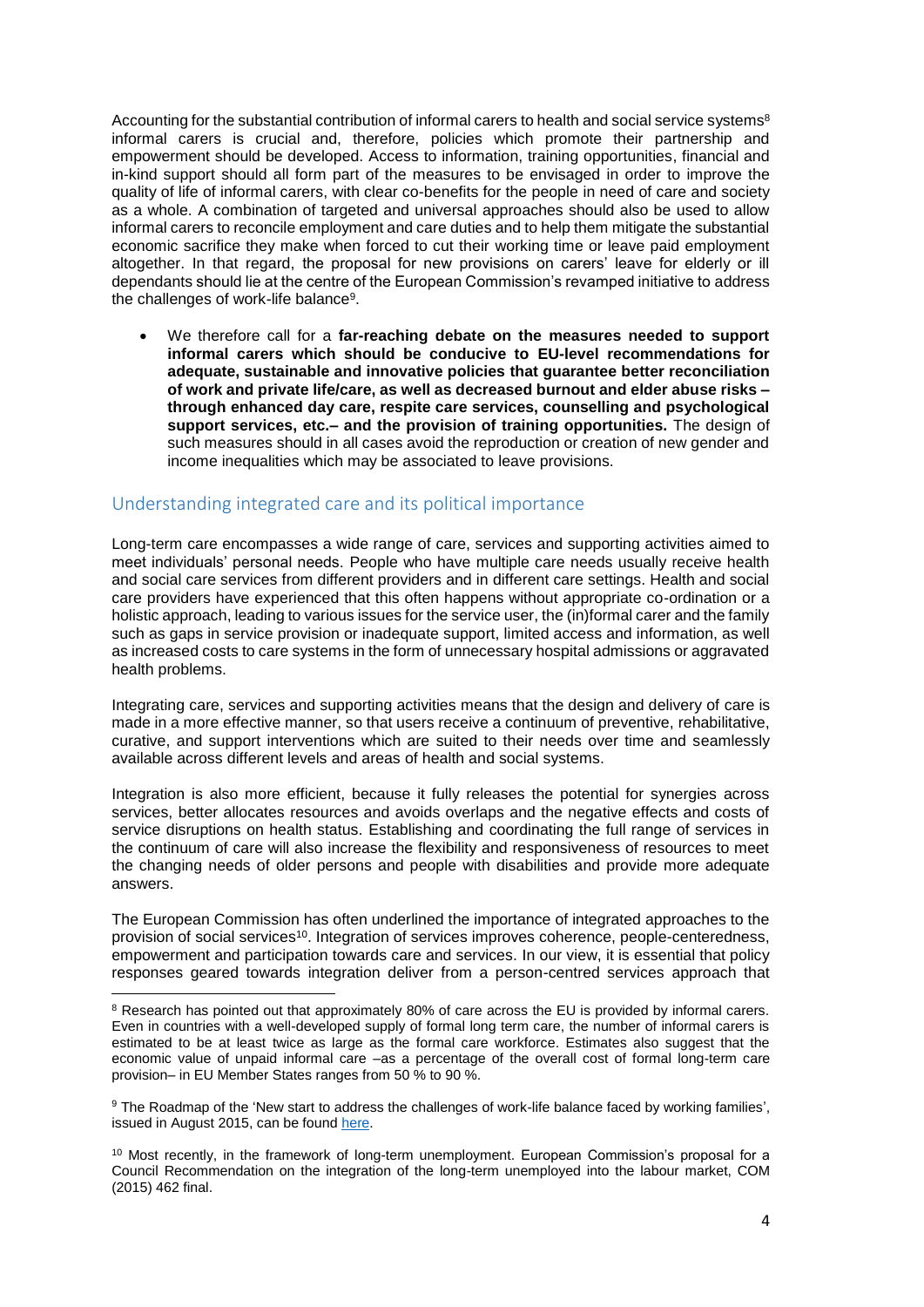Accounting for the substantial contribution of informal carers to health and social service systems<sup>8</sup> informal carers is crucial and, therefore, policies which promote their partnership and empowerment should be developed. Access to information, training opportunities, financial and in-kind support should all form part of the measures to be envisaged in order to improve the quality of life of informal carers, with clear co-benefits for the people in need of care and society as a whole. A combination of targeted and universal approaches should also be used to allow informal carers to reconcile employment and care duties and to help them mitigate the substantial economic sacrifice they make when forced to cut their working time or leave paid employment altogether. In that regard, the proposal for new provisions on carers' leave for elderly or ill dependants should lie at the centre of the European Commission's revamped initiative to address the challenges of work-life balance<sup>9</sup>.

 We therefore call for a **far-reaching debate on the measures needed to support informal carers which should be conducive to EU-level recommendations for adequate, sustainable and innovative policies that guarantee better reconciliation of work and private life/care, as well as decreased burnout and elder abuse risks – through enhanced day care, respite care services, counselling and psychological support services, etc.– and the provision of training opportunities.** The design of such measures should in all cases avoid the reproduction or creation of new gender and income inequalities which may be associated to leave provisions.

## Understanding integrated care and its political importance

**.** 

Long-term care encompasses a wide range of care, services and supporting activities aimed to meet individuals' personal needs. People who have multiple care needs usually receive health and social care services from different providers and in different care settings. Health and social care providers have experienced that this often happens without appropriate co-ordination or a holistic approach, leading to various issues for the service user, the (in)formal carer and the family such as gaps in service provision or inadequate support, limited access and information, as well as increased costs to care systems in the form of unnecessary hospital admissions or aggravated health problems.

Integrating care, services and supporting activities means that the design and delivery of care is made in a more effective manner, so that users receive a continuum of preventive, rehabilitative, curative, and support interventions which are suited to their needs over time and seamlessly available across different levels and areas of health and social systems.

Integration is also more efficient, because it fully releases the potential for synergies across services, better allocates resources and avoids overlaps and the negative effects and costs of service disruptions on health status. Establishing and coordinating the full range of services in the continuum of care will also increase the flexibility and responsiveness of resources to meet the changing needs of older persons and people with disabilities and provide more adequate answers.

The European Commission has often underlined the importance of integrated approaches to the provision of social services<sup>10</sup>. Integration of services improves coherence, people-centeredness, empowerment and participation towards care and services. In our view, it is essential that policy responses geared towards integration deliver from a person-centred services approach that

<sup>&</sup>lt;sup>8</sup> Research has pointed out that approximately 80% of care across the EU is provided by informal carers. Even in countries with a well-developed supply of formal long term care, the number of informal carers is estimated to be at least twice as large as the formal care workforce. Estimates also suggest that the economic value of unpaid informal care –as a percentage of the overall cost of formal long-term care provision– in EU Member States ranges from 50 % to 90 %.

<sup>&</sup>lt;sup>9</sup> The Roadmap of the 'New start to address the challenges of work-life balance faced by working families'. issued in August 2015, can be found [here.](http://ec.europa.eu/smart-regulation/roadmaps/docs/2015_just_012_new_initiative_replacing_maternity_leave_directive_en.pdf)

<sup>&</sup>lt;sup>10</sup> Most recently, in the framework of long-term unemployment. European Commission's proposal for a Council Recommendation on the integration of the long-term unemployed into the labour market, COM (2015) 462 final.